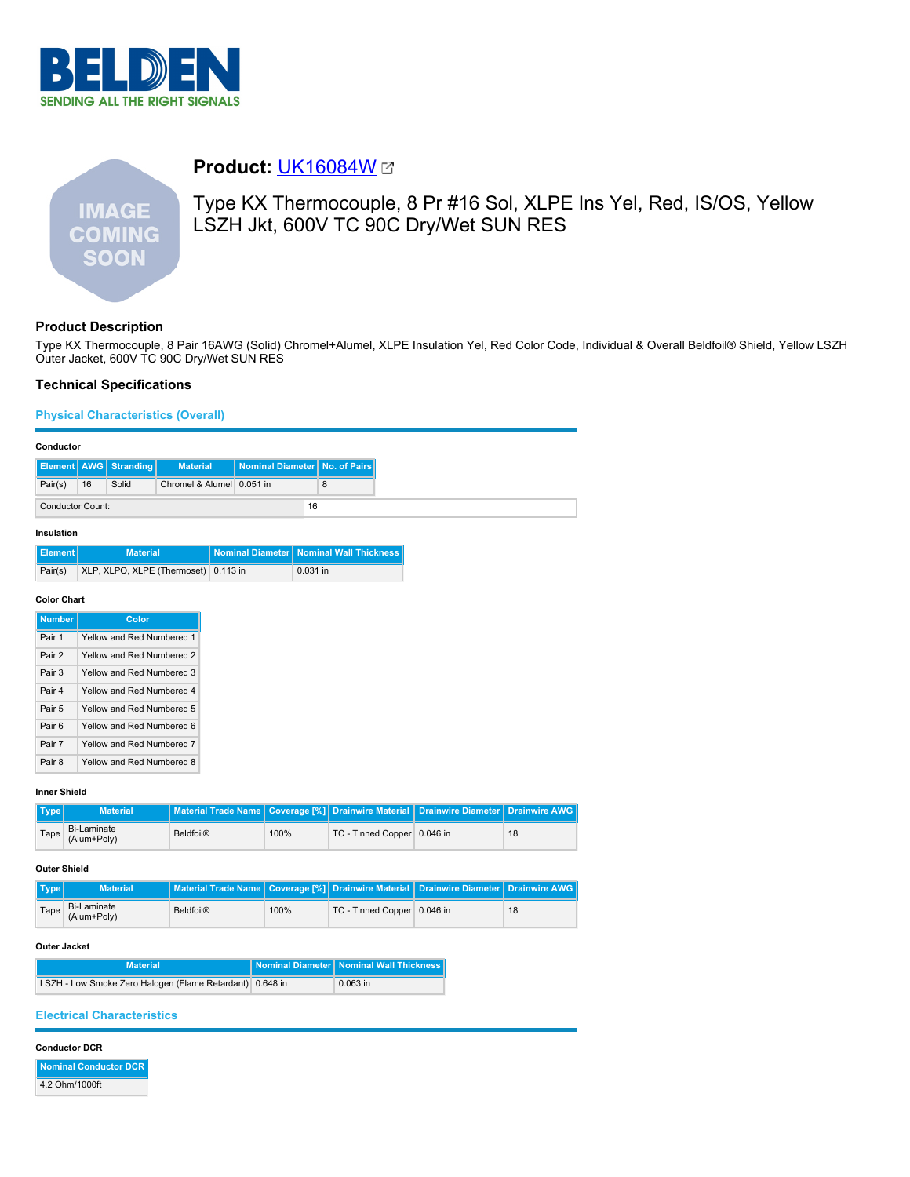

# **IMAGE COMING SOON**

## **Product:** [UK16084W](https://catalog.belden.com/index.cfm?event=pd&p=PF_UK16084W&tab=downloads)

Type KX Thermocouple, 8 Pr #16 Sol, XLPE Ins Yel, Red, IS/OS, Yellow LSZH Jkt, 600V TC 90C Dry/Wet SUN RES

## **Product Description**

Type KX Thermocouple, 8 Pair 16AWG (Solid) Chromel+Alumel, XLPE Insulation Yel, Red Color Code, Individual & Overall Beldfoil® Shield, Yellow LSZH Outer Jacket, 600V TC 90C Dry/Wet SUN RES

## **Technical Specifications**

**Physical Characteristics (Overall)**

#### **Conductor**

|                  |    | <b>Element   AWG   Stranding  </b> | <b>Material</b>           | Nominal Diameter No. of Pairs |  |
|------------------|----|------------------------------------|---------------------------|-------------------------------|--|
| Pair(s)          | 16 | Solid                              | Chromel & Alumel 0.051 in |                               |  |
| Conductor Count: |    | 16                                 |                           |                               |  |

#### **Insulation**

| l Element I | <b>Material</b>                      | Nominal Diameter   Nominal Wall Thickness |
|-------------|--------------------------------------|-------------------------------------------|
| Pair(s)     | XLP, XLPO, XLPE (Thermoset) 0.113 in | $0.031$ in                                |

#### **Color Chart**

| <b>Number</b> | Color                     |
|---------------|---------------------------|
| Pair 1        | Yellow and Red Numbered 1 |
| Pair 2        | Yellow and Red Numbered 2 |
| Pair 3        | Yellow and Red Numbered 3 |
| Pair 4        | Yellow and Red Numbered 4 |
| Pair 5        | Yellow and Red Numbered 5 |
| Pair 6        | Yellow and Red Numbered 6 |
| Pair 7        | Yellow and Red Numbered 7 |
| Pair 8        | Yellow and Red Numbered 8 |

#### **Inner Shield**

| Type | <b>Material</b>            | Material Trade Name   Coverage [%]   Drainwire Material   Drainwire Diameter   Drainwire AWG |      |                             |    |
|------|----------------------------|----------------------------------------------------------------------------------------------|------|-----------------------------|----|
| Tape | Bi-Laminate<br>(Alum+Poly) | Beldfoil®                                                                                    | 100% | TC - Tinned Copper 0.046 in | 18 |

#### **Outer Shield**

| Type | <b>Material</b>            | Material Trade Name   Coverage [%]   Drainwire Material   Drainwire Diameter   Drainwire AWG |      |                             |    |
|------|----------------------------|----------------------------------------------------------------------------------------------|------|-----------------------------|----|
| Tape | Bi-Laminate<br>(Alum+Poly) | Beldfoil®                                                                                    | 100% | TC - Tinned Copper 0.046 in | 18 |

#### **Outer Jacket**

| <b>Material</b>                                          | Nominal Diameter   Nominal Wall Thickness |
|----------------------------------------------------------|-------------------------------------------|
| LSZH - Low Smoke Zero Halogen (Flame Retardant) 0.648 in | $0.063$ in                                |

### **Electrical Characteristics**

#### **Conductor DCR**

**Nominal Conductor DCR** 4.2 Ohm/1000ft